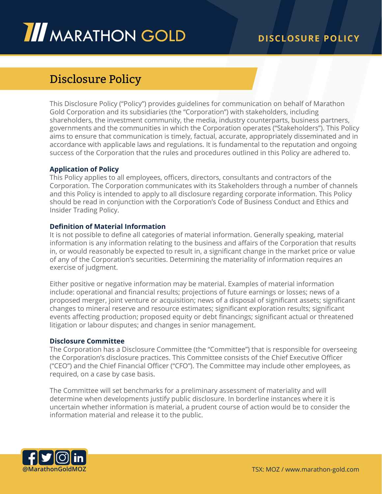# Disclosure Policy

This Disclosure Policy ("Policy") provides guidelines for communication on behalf of Marathon Gold Corporation and its subsidiaries (the "Corporation") with stakeholders, including shareholders, the investment community, the media, industry counterparts, business partners, governments and the communities in which the Corporation operates ("Stakeholders"). This Policy aims to ensure that communication is timely, factual, accurate, appropriately disseminated and in accordance with applicable laws and regulations. It is fundamental to the reputation and ongoing success of the Corporation that the rules and procedures outlined in this Policy are adhered to.

# **Application of Policy**

This Policy applies to all employees, officers, directors, consultants and contractors of the Corporation. The Corporation communicates with its Stakeholders through a number of channels and this Policy is intended to apply to all disclosure regarding corporate information. This Policy should be read in conjunction with the Corporation's Code of Business Conduct and Ethics and Insider Trading Policy.

# **Definition of Material Information**

It is not possible to define all categories of material information. Generally speaking, material information is any information relating to the business and affairs of the Corporation that results in, or would reasonably be expected to result in, a significant change in the market price or value of any of the Corporation's securities. Determining the materiality of information requires an exercise of judgment.

Either positive or negative information may be material. Examples of material information include: operational and financial results; projections of future earnings or losses; news of a proposed merger, joint venture or acquisition; news of a disposal of significant assets; significant changes to mineral reserve and resource estimates; significant exploration results; significant events affecting production; proposed equity or debt financings; significant actual or threatened litigation or labour disputes; and changes in senior management.

# **Disclosure Committee**

The Corporation has a Disclosure Committee (the "Committee") that is responsible for overseeing the Corporation's disclosure practices. This Committee consists of the Chief Executive Officer ("CEO") and the Chief Financial Officer ("CFO"). The Committee may include other employees, as required, on a case by case basis.

The Committee will set benchmarks for a preliminary assessment of materiality and will determine when developments justify public disclosure. In borderline instances where it is uncertain whether information is material, a prudent course of action would be to consider the information material and release it to the public.

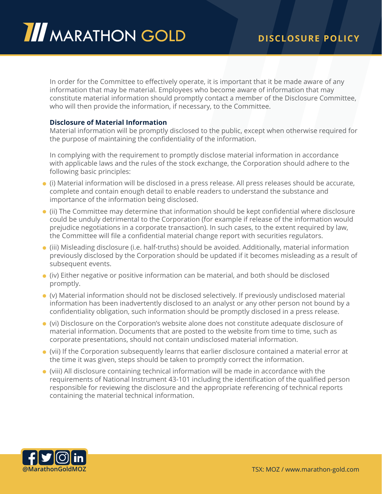In order for the Committee to effectively operate, it is important that it be made aware of any information that may be material. Employees who become aware of information that may constitute material information should promptly contact a member of the Disclosure Committee, who will then provide the information, if necessary, to the Committee.

# **Disclosure of Material Information**

Material information will be promptly disclosed to the public, except when otherwise required for the purpose of maintaining the confidentiality of the information.

In complying with the requirement to promptly disclose material information in accordance with applicable laws and the rules of the stock exchange, the Corporation should adhere to the following basic principles:

- (i) Material information will be disclosed in a press release. All press releases should be accurate, complete and contain enough detail to enable readers to understand the substance and importance of the information being disclosed.
- (ii) The Committee may determine that information should be kept confidential where disclosure could be unduly detrimental to the Corporation (for example if release of the information would prejudice negotiations in a corporate transaction). In such cases, to the extent required by law, the Committee will file a confidential material change report with securities regulators.
- (iii) Misleading disclosure (i.e. half-truths) should be avoided. Additionally, material information previously disclosed by the Corporation should be updated if it becomes misleading as a result of subsequent events.
- (iv) Either negative or positive information can be material, and both should be disclosed promptly.
- (v) Material information should not be disclosed selectively. If previously undisclosed material information has been inadvertently disclosed to an analyst or any other person not bound by a confidentiality obligation, such information should be promptly disclosed in a press release.
- (vi) Disclosure on the Corporation's website alone does not constitute adequate disclosure of material information. Documents that are posted to the website from time to time, such as corporate presentations, should not contain undisclosed material information.
- (vii) If the Corporation subsequently learns that earlier disclosure contained a material error at the time it was given, steps should be taken to promptly correct the information.
- (viii) All disclosure containing technical information will be made in accordance with the requirements of National Instrument 43-101 including the identification of the qualified person responsible for reviewing the disclosure and the appropriate referencing of technical reports containing the material technical information.

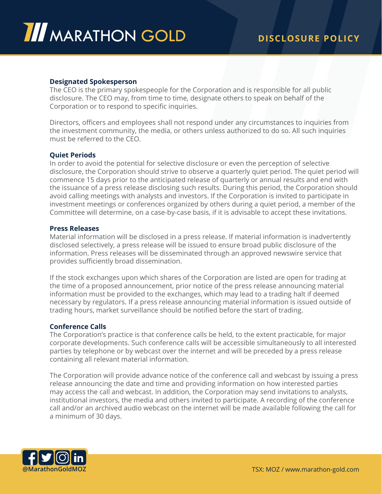

### **Designated Spokesperson**

The CEO is the primary spokespeople for the Corporation and is responsible for all public disclosure. The CEO may, from time to time, designate others to speak on behalf of the Corporation or to respond to specific inquiries.

Directors, officers and employees shall not respond under any circumstances to inquiries from the investment community, the media, or others unless authorized to do so. All such inquiries must be referred to the CEO.

#### **Quiet Periods**

In order to avoid the potential for selective disclosure or even the perception of selective disclosure, the Corporation should strive to observe a quarterly quiet period. The quiet period will commence 15 days prior to the anticipated release of quarterly or annual results and end with the issuance of a press release disclosing such results. During this period, the Corporation should avoid calling meetings with analysts and investors. If the Corporation is invited to participate in investment meetings or conferences organized by others during a quiet period, a member of the Committee will determine, on a case-by-case basis, if it is advisable to accept these invitations.

#### **Press Releases**

Material information will be disclosed in a press release. If material information is inadvertently disclosed selectively, a press release will be issued to ensure broad public disclosure of the information. Press releases will be disseminated through an approved newswire service that provides sufficiently broad dissemination.

If the stock exchanges upon which shares of the Corporation are listed are open for trading at the time of a proposed announcement, prior notice of the press release announcing material information must be provided to the exchanges, which may lead to a trading halt if deemed necessary by regulators. If a press release announcing material information is issued outside of trading hours, market surveillance should be notified before the start of trading.

# **Conference Calls**

The Corporation's practice is that conference calls be held, to the extent practicable, for major corporate developments. Such conference calls will be accessible simultaneously to all interested parties by telephone or by webcast over the internet and will be preceded by a press release containing all relevant material information.

The Corporation will provide advance notice of the conference call and webcast by issuing a press release announcing the date and time and providing information on how interested parties may access the call and webcast. In addition, the Corporation may send invitations to analysts, institutional investors, the media and others invited to participate. A recording of the conference call and/or an archived audio webcast on the internet will be made available following the call for a minimum of 30 days.

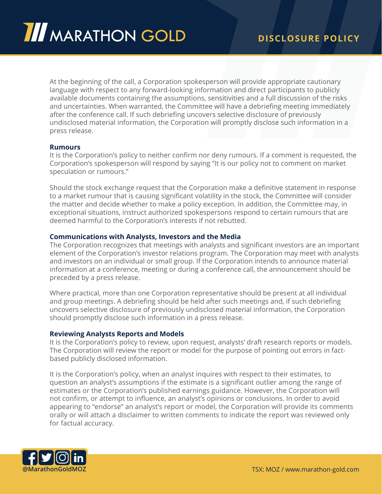

At the beginning of the call, a Corporation spokesperson will provide appropriate cautionary language with respect to any forward-looking information and direct participants to publicly available documents containing the assumptions, sensitivities and a full discussion of the risks and uncertainties. When warranted, the Committee will have a debriefing meeting immediately after the conference call. If such debriefing uncovers selective disclosure of previously undisclosed material information, the Corporation will promptly disclose such information in a press release.

#### **Rumours**

It is the Corporation's policy to neither confirm nor deny rumours. If a comment is requested, the Corporation's spokesperson will respond by saying "It is our policy not to comment on market speculation or rumours."

Should the stock exchange request that the Corporation make a definitive statement in response to a market rumour that is causing significant volatility in the stock, the Committee will consider the matter and decide whether to make a policy exception. In addition, the Committee may, in exceptional situations, instruct authorized spokespersons respond to certain rumours that are deemed harmful to the Corporation's interests if not rebutted.

# **Communications with Analysts, Investors and the Media**

The Corporation recognizes that meetings with analysts and significant investors are an important element of the Corporation's investor relations program. The Corporation may meet with analysts and investors on an individual or small group. If the Corporation intends to announce material information at a conference, meeting or during a conference call, the announcement should be preceded by a press release.

Where practical, more than one Corporation representative should be present at all individual and group meetings. A debriefing should be held after such meetings and, if such debriefing uncovers selective disclosure of previously undisclosed material information, the Corporation should promptly disclose such information in a press release.

#### **Reviewing Analysts Reports and Models**

It is the Corporation's policy to review, upon request, analysts' draft research reports or models. The Corporation will review the report or model for the purpose of pointing out errors in factbased publicly disclosed information.

It is the Corporation's policy, when an analyst inquires with respect to their estimates, to question an analyst's assumptions if the estimate is a significant outlier among the range of estimates or the Corporation's published earnings guidance. However, the Corporation will not confirm, or attempt to influence, an analyst's opinions or conclusions. In order to avoid appearing to "endorse" an analyst's report or model, the Corporation will provide its comments orally or will attach a disclaimer to written comments to indicate the report was reviewed only for factual accuracy.

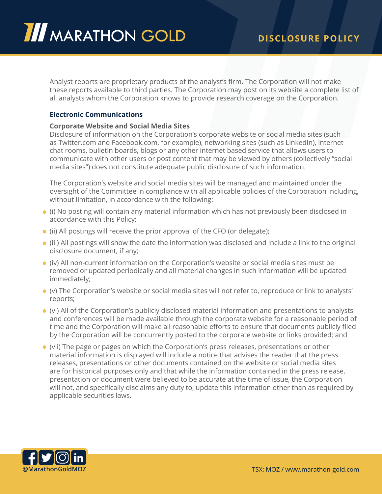Analyst reports are proprietary products of the analyst's firm. The Corporation will not make these reports available to third parties. The Corporation may post on its website a complete list of all analysts whom the Corporation knows to provide research coverage on the Corporation.

# **Electronic Communications**

# **Corporate Website and Social Media Sites**

Disclosure of information on the Corporation's corporate website or social media sites (such as Twitter.com and Facebook.com, for example), networking sites (such as LinkedIn), internet chat rooms, bulletin boards, blogs or any other internet based service that allows users to communicate with other users or post content that may be viewed by others (collectively "social media sites") does not constitute adequate public disclosure of such information.

The Corporation's website and social media sites will be managed and maintained under the oversight of the Committee in compliance with all applicable policies of the Corporation including, without limitation, in accordance with the following:

- (i) No posting will contain any material information which has not previously been disclosed in accordance with this Policy;
- (ii) All postings will receive the prior approval of the CFO (or delegate);
- (iii) All postings will show the date the information was disclosed and include a link to the original disclosure document, if any;
- (iv) All non-current information on the Corporation's website or social media sites must be removed or updated periodically and all material changes in such information will be updated immediately;
- (v) The Corporation's website or social media sites will not refer to, reproduce or link to analysts' reports;
- (vi) All of the Corporation's publicly disclosed material information and presentations to analysts and conferences will be made available through the corporate website for a reasonable period of time and the Corporation will make all reasonable efforts to ensure that documents publicly filed by the Corporation will be concurrently posted to the corporate website or links provided; and
- (vii) The page or pages on which the Corporation's press releases, presentations or other material information is displayed will include a notice that advises the reader that the press releases, presentations or other documents contained on the website or social media sites are for historical purposes only and that while the information contained in the press release, presentation or document were believed to be accurate at the time of issue, the Corporation will not, and specifically disclaims any duty to, update this information other than as required by applicable securities laws.

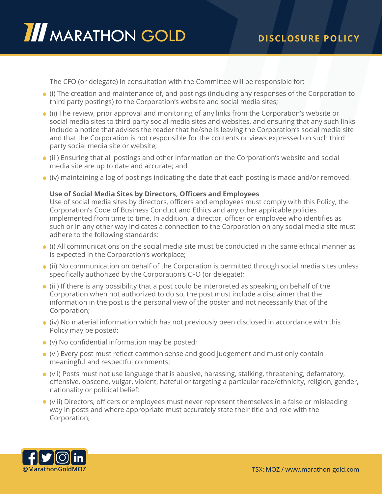The CFO (or delegate) in consultation with the Committee will be responsible for:

- (i) The creation and maintenance of, and postings (including any responses of the Corporation to third party postings) to the Corporation's website and social media sites;
- (ii) The review, prior approval and monitoring of any links from the Corporation's website or social media sites to third party social media sites and websites, and ensuring that any such links include a notice that advises the reader that he/she is leaving the Corporation's social media site and that the Corporation is not responsible for the contents or views expressed on such third party social media site or website;
- (iii) Ensuring that all postings and other information on the Corporation's website and social media site are up to date and accurate; and
- (iv) maintaining a log of postings indicating the date that each posting is made and/or removed.

# **Use of Social Media Sites by Directors, Officers and Employees**

Use of social media sites by directors, officers and employees must comply with this Policy, the Corporation's Code of Business Conduct and Ethics and any other applicable policies implemented from time to time. In addition, a director, officer or employee who identifies as such or in any other way indicates a connection to the Corporation on any social media site must adhere to the following standards:

- (i) All communications on the social media site must be conducted in the same ethical manner as is expected in the Corporation's workplace;
- (ii) No communication on behalf of the Corporation is permitted through social media sites unless specifically authorized by the Corporation's CFO (or delegate);
- (iii) If there is any possibility that a post could be interpreted as speaking on behalf of the Corporation when not authorized to do so, the post must include a disclaimer that the information in the post is the personal view of the poster and not necessarily that of the Corporation;
- (iv) No material information which has not previously been disclosed in accordance with this Policy may be posted;
- (v) No confidential information may be posted;
- (vi) Every post must reflect common sense and good judgement and must only contain meaningful and respectful comments;
- (vii) Posts must not use language that is abusive, harassing, stalking, threatening, defamatory, offensive, obscene, vulgar, violent, hateful or targeting a particular race/ethnicity, religion, gender, nationality or political belief;
- (viii) Directors, officers or employees must never represent themselves in a false or misleading way in posts and where appropriate must accurately state their title and role with the Corporation;

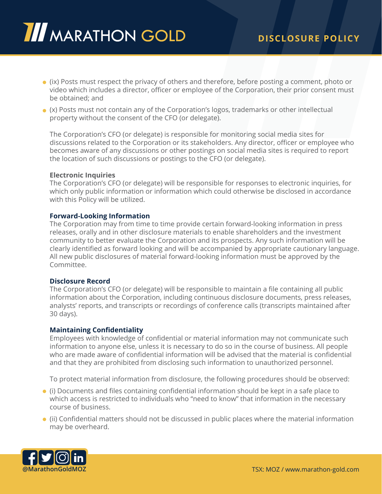- (ix) Posts must respect the privacy of others and therefore, before posting a comment, photo or video which includes a director, officer or employee of the Corporation, their prior consent must be obtained; and
- (x) Posts must not contain any of the Corporation's logos, trademarks or other intellectual property without the consent of the CFO (or delegate).

The Corporation's CFO (or delegate) is responsible for monitoring social media sites for discussions related to the Corporation or its stakeholders. Any director, officer or employee who becomes aware of any discussions or other postings on social media sites is required to report the location of such discussions or postings to the CFO (or delegate).

### **Electronic Inquiries**

The Corporation's CFO (or delegate) will be responsible for responses to electronic inquiries, for which only public information or information which could otherwise be disclosed in accordance with this Policy will be utilized.

### **Forward-Looking Information**

The Corporation may from time to time provide certain forward-looking information in press releases, orally and in other disclosure materials to enable shareholders and the investment community to better evaluate the Corporation and its prospects. Any such information will be clearly identified as forward looking and will be accompanied by appropriate cautionary language. All new public disclosures of material forward-looking information must be approved by the Committee.

#### **Disclosure Record**

The Corporation's CFO (or delegate) will be responsible to maintain a file containing all public information about the Corporation, including continuous disclosure documents, press releases, analysts' reports, and transcripts or recordings of conference calls (transcripts maintained after 30 days).

#### **Maintaining Confidentiality**

Employees with knowledge of confidential or material information may not communicate such information to anyone else, unless it is necessary to do so in the course of business. All people who are made aware of confidential information will be advised that the material is confidential and that they are prohibited from disclosing such information to unauthorized personnel.

To protect material information from disclosure, the following procedures should be observed:

- (i) Documents and files containing confidential information should be kept in a safe place to which access is restricted to individuals who "need to know" that information in the necessary course of business.
- (ii) Confidential matters should not be discussed in public places where the material information may be overheard.